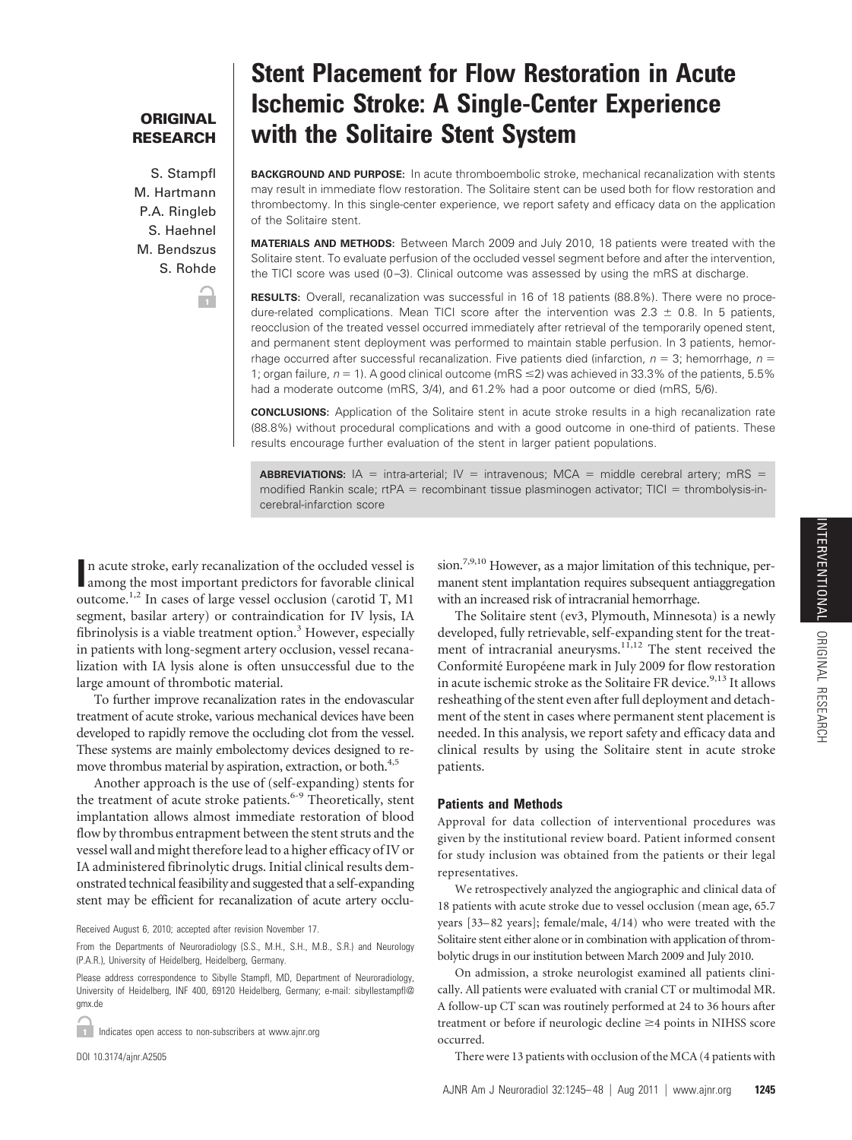# **ORIGINAL RESEARCH**

S. Stampfl M. Hartmann P.A. Ringleb S. Haehnel M. Bendszus S. Rohde

'n

# **Stent Placement for Flow Restoration in Acute Ischemic Stroke: A Single-Center Experience with the Solitaire Stent System**

**BACKGROUND AND PURPOSE:** In acute thromboembolic stroke, mechanical recanalization with stents may result in immediate flow restoration. The Solitaire stent can be used both for flow restoration and thrombectomy. In this single-center experience, we report safety and efficacy data on the application of the Solitaire stent.

**MATERIALS AND METHODS:** Between March 2009 and July 2010, 18 patients were treated with the Solitaire stent. To evaluate perfusion of the occluded vessel segment before and after the intervention, the TICI score was used (0-3). Clinical outcome was assessed by using the mRS at discharge.

**RESULTS:** Overall, recanalization was successful in 16 of 18 patients (88.8%). There were no procedure-related complications. Mean TICI score after the intervention was  $2.3 \pm 0.8$ . In 5 patients, reocclusion of the treated vessel occurred immediately after retrieval of the temporarily opened stent, and permanent stent deployment was performed to maintain stable perfusion. In 3 patients, hemorrhage occurred after successful recanalization. Five patients died (infarction,  $n = 3$ ; hemorrhage,  $n =$ 1; organ failure,  $n = 1$ ). A good clinical outcome (mRS  $\leq$ 2) was achieved in 33.3% of the patients, 5.5% had a moderate outcome (mRS, 3/4), and 61.2% had a poor outcome or died (mRS, 5/6).

**CONCLUSIONS:** Application of the Solitaire stent in acute stroke results in a high recanalization rate (88.8%) without procedural complications and with a good outcome in one-third of patients. These results encourage further evaluation of the stent in larger patient populations.

**ABBREVIATIONS:**  $A = intra-arterial;$  IV = intravenous; MCA = middle cerebral artery; mRS = modified Rankin scale; rtPA = recombinant tissue plasminogen activator; TICI = thrombolysis-incerebral-infarction score

**In acute stroke, early recanalization of the occluded vessel is among the most important predictors for favorable clinical** n acute stroke, early recanalization of the occluded vessel is outcome.<sup>1,2</sup> In cases of large vessel occlusion (carotid T, M1 segment, basilar artery) or contraindication for IV lysis, IA fibrinolysis is a viable treatment option. $3$  However, especially in patients with long-segment artery occlusion, vessel recanalization with IA lysis alone is often unsuccessful due to the large amount of thrombotic material.

To further improve recanalization rates in the endovascular treatment of acute stroke, various mechanical devices have been developed to rapidly remove the occluding clot from the vessel. These systems are mainly embolectomy devices designed to remove thrombus material by aspiration, extraction, or both.<sup>4,5</sup>

Another approach is the use of (self-expanding) stents for the treatment of acute stroke patients.<sup>6-9</sup> Theoretically, stent implantation allows almost immediate restoration of blood flow by thrombus entrapment between the stent struts and the vessel wall and might therefore lead to a higher efficacy of IV or IA administered fibrinolytic drugs. Initial clinical results demonstrated technical feasibility and suggested that a self-expanding stent may be efficient for recanalization of acute artery occlu-

Received August 6, 2010; accepted after revision November 17.

Indicates open access to non-subscribers at www.ajnr.org

DOI 10.3174/ajnr.A2505

sion.<sup>7,9,10</sup> However, as a major limitation of this technique, permanent stent implantation requires subsequent antiaggregation with an increased risk of intracranial hemorrhage.

The Solitaire stent (ev3, Plymouth, Minnesota) is a newly developed, fully retrievable, self-expanding stent for the treatment of intracranial aneurysms.<sup>11,12</sup> The stent received the Conformité Européene mark in July 2009 for flow restoration in acute ischemic stroke as the Solitaire FR device.<sup>9,13</sup> It allows resheathing of the stent even after full deployment and detachment of the stent in cases where permanent stent placement is needed. In this analysis, we report safety and efficacy data and clinical results by using the Solitaire stent in acute stroke patients.

### **Patients and Methods**

Approval for data collection of interventional procedures was given by the institutional review board. Patient informed consent for study inclusion was obtained from the patients or their legal representatives.

We retrospectively analyzed the angiographic and clinical data of 18 patients with acute stroke due to vessel occlusion (mean age, 65.7 years [33– 82 years]; female/male, 4/14) who were treated with the Solitaire stent either alone or in combination with application of thrombolytic drugs in our institution between March 2009 and July 2010.

On admission, a stroke neurologist examined all patients clinically. All patients were evaluated with cranial CT or multimodal MR. A follow-up CT scan was routinely performed at 24 to 36 hours after treatment or before if neurologic decline ≥4 points in NIHSS score occurred.

There were 13 patients with occlusion of the MCA (4 patients with

From the Departments of Neuroradiology (S.S., M.H., S.H., M.B., S.R.) and Neurology (P.A.R.), University of Heidelberg, Heidelberg, Germany.

Please address correspondence to Sibylle Stampfl, MD, Department of Neuroradiology, University of Heidelberg, INF 400, 69120 Heidelberg, Germany; e-mail: sibyllestampfl@ gmx.de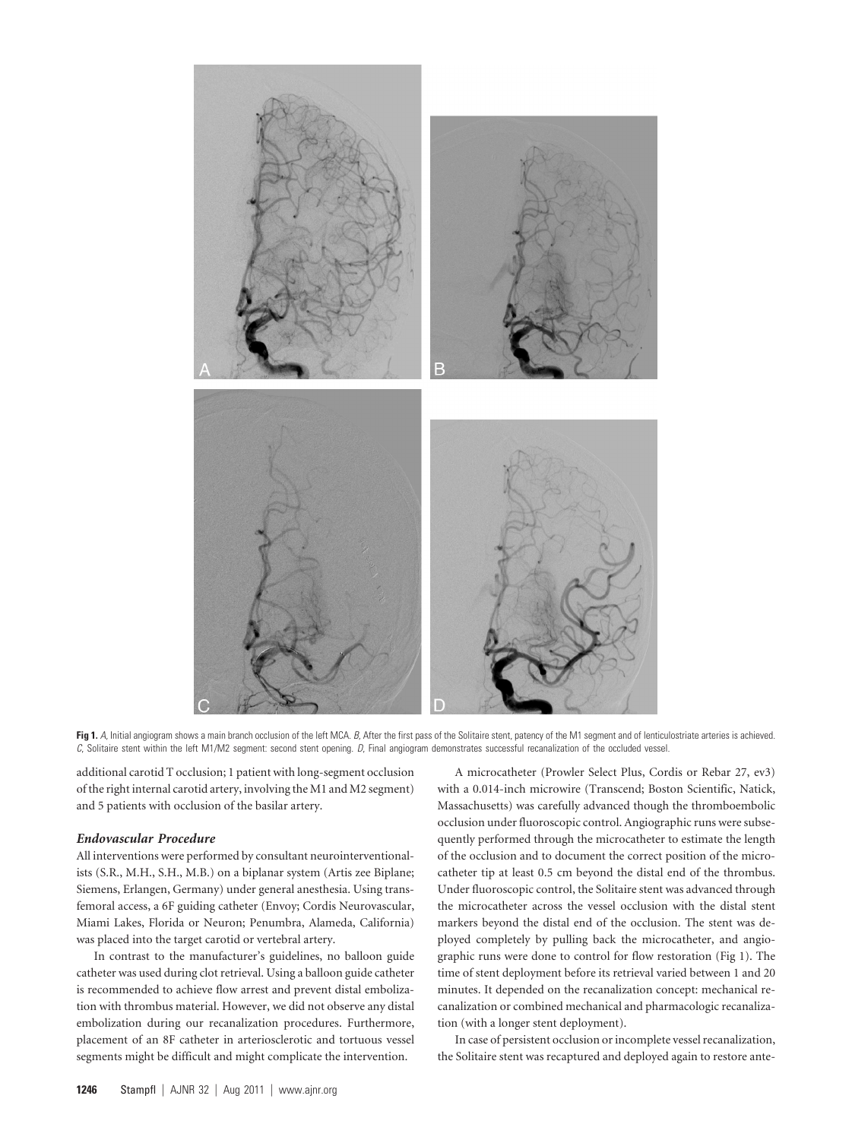

Fig 1. A, Initial angiogram shows a main branch occlusion of the left MCA. *B*, After the first pass of the Solitaire stent, patency of the M1 segment and of lenticulostriate arteries is achieved. *C*, Solitaire stent within the left M1/M2 segment: second stent opening. *D*, Final angiogram demonstrates successful recanalization of the occluded vessel.

additional carotid T occlusion; 1 patient with long-segment occlusion of the right internal carotid artery, involving the M1 and M2 segment) and 5 patients with occlusion of the basilar artery.

#### *Endovascular Procedure*

All interventions were performed by consultant neurointerventionalists (S.R., M.H., S.H., M.B.) on a biplanar system (Artis zee Biplane; Siemens, Erlangen, Germany) under general anesthesia. Using transfemoral access, a 6F guiding catheter (Envoy; Cordis Neurovascular, Miami Lakes, Florida or Neuron; Penumbra, Alameda, California) was placed into the target carotid or vertebral artery.

In contrast to the manufacturer's guidelines, no balloon guide catheter was used during clot retrieval. Using a balloon guide catheter is recommended to achieve flow arrest and prevent distal embolization with thrombus material. However, we did not observe any distal embolization during our recanalization procedures. Furthermore, placement of an 8F catheter in arteriosclerotic and tortuous vessel segments might be difficult and might complicate the intervention.

A microcatheter (Prowler Select Plus, Cordis or Rebar 27, ev3) with a 0.014-inch microwire (Transcend; Boston Scientific, Natick, Massachusetts) was carefully advanced though the thromboembolic occlusion under fluoroscopic control. Angiographic runs were subsequently performed through the microcatheter to estimate the length of the occlusion and to document the correct position of the microcatheter tip at least 0.5 cm beyond the distal end of the thrombus. Under fluoroscopic control, the Solitaire stent was advanced through the microcatheter across the vessel occlusion with the distal stent markers beyond the distal end of the occlusion. The stent was deployed completely by pulling back the microcatheter, and angiographic runs were done to control for flow restoration (Fig 1). The time of stent deployment before its retrieval varied between 1 and 20 minutes. It depended on the recanalization concept: mechanical recanalization or combined mechanical and pharmacologic recanalization (with a longer stent deployment).

In case of persistent occlusion or incomplete vessel recanalization, the Solitaire stent was recaptured and deployed again to restore ante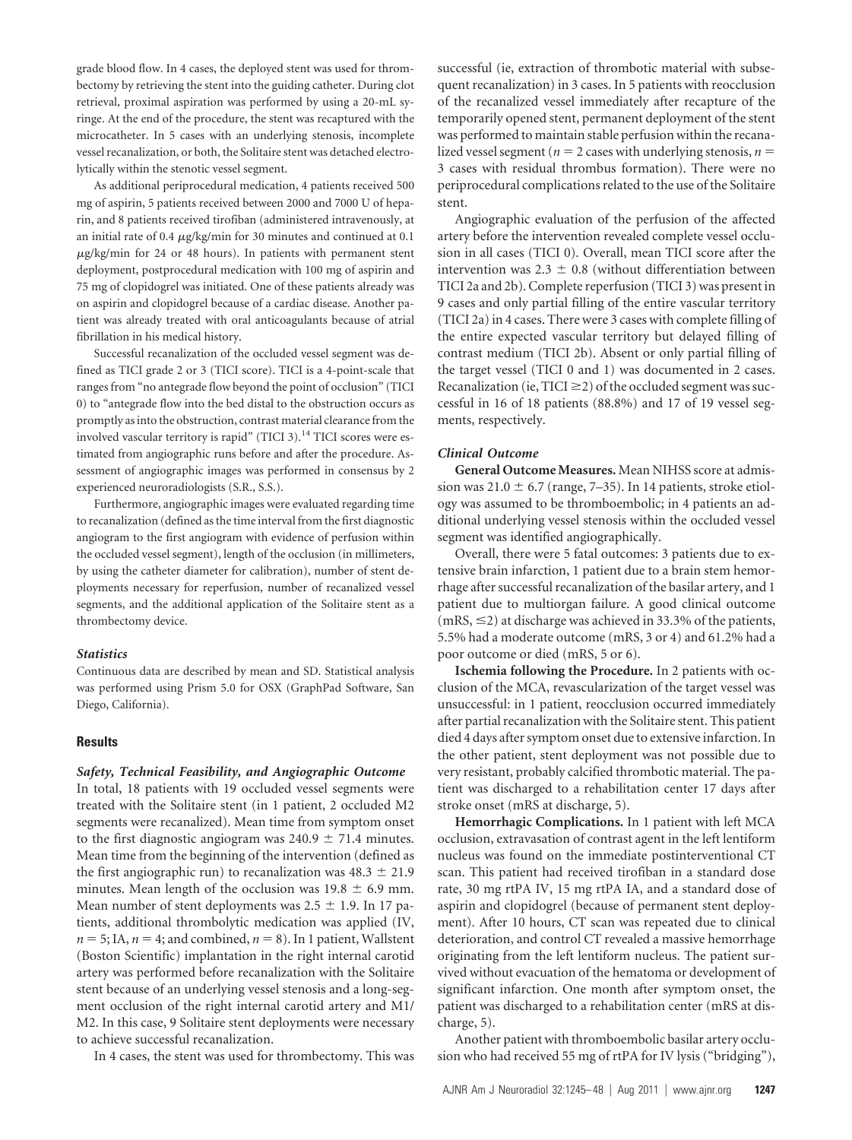grade blood flow. In 4 cases, the deployed stent was used for thrombectomy by retrieving the stent into the guiding catheter. During clot retrieval, proximal aspiration was performed by using a 20-mL syringe. At the end of the procedure, the stent was recaptured with the microcatheter. In 5 cases with an underlying stenosis, incomplete vessel recanalization, or both, the Solitaire stent was detached electrolytically within the stenotic vessel segment.

As additional periprocedural medication, 4 patients received 500 mg of aspirin, 5 patients received between 2000 and 7000 U of heparin, and 8 patients received tirofiban (administered intravenously, at an initial rate of 0.4  $\mu$ g/kg/min for 30 minutes and continued at 0.1  $\mu$ g/kg/min for 24 or 48 hours). In patients with permanent stent deployment, postprocedural medication with 100 mg of aspirin and 75 mg of clopidogrel was initiated. One of these patients already was on aspirin and clopidogrel because of a cardiac disease. Another patient was already treated with oral anticoagulants because of atrial fibrillation in his medical history.

Successful recanalization of the occluded vessel segment was defined as TICI grade 2 or 3 (TICI score). TICI is a 4-point-scale that ranges from "no antegrade flow beyond the point of occlusion" (TICI 0) to "antegrade flow into the bed distal to the obstruction occurs as promptly as into the obstruction, contrast material clearance from the involved vascular territory is rapid" (TICI 3).<sup>14</sup> TICI scores were estimated from angiographic runs before and after the procedure. Assessment of angiographic images was performed in consensus by 2 experienced neuroradiologists (S.R., S.S.).

Furthermore, angiographic images were evaluated regarding time to recanalization (defined as the time interval from the first diagnostic angiogram to the first angiogram with evidence of perfusion within the occluded vessel segment), length of the occlusion (in millimeters, by using the catheter diameter for calibration), number of stent deployments necessary for reperfusion, number of recanalized vessel segments, and the additional application of the Solitaire stent as a thrombectomy device.

## *Statistics*

Continuous data are described by mean and SD. Statistical analysis was performed using Prism 5.0 for OSX (GraphPad Software, San Diego, California).

#### **Results**

#### *Safety, Technical Feasibility, and Angiographic Outcome*

In total, 18 patients with 19 occluded vessel segments were treated with the Solitaire stent (in 1 patient, 2 occluded M2 segments were recanalized). Mean time from symptom onset to the first diagnostic angiogram was  $240.9 \pm 71.4$  minutes. Mean time from the beginning of the intervention (defined as the first angiographic run) to recanalization was  $48.3 \pm 21.9$ minutes. Mean length of the occlusion was  $19.8 \pm 6.9$  mm. Mean number of stent deployments was  $2.5 \pm 1.9$ . In 17 patients, additional thrombolytic medication was applied (IV,  $n = 5$ ; IA,  $n = 4$ ; and combined,  $n = 8$ ). In 1 patient, Wallstent (Boston Scientific) implantation in the right internal carotid artery was performed before recanalization with the Solitaire stent because of an underlying vessel stenosis and a long-segment occlusion of the right internal carotid artery and M1/ M2. In this case, 9 Solitaire stent deployments were necessary to achieve successful recanalization.

In 4 cases, the stent was used for thrombectomy. This was

successful (ie, extraction of thrombotic material with subsequent recanalization) in 3 cases. In 5 patients with reocclusion of the recanalized vessel immediately after recapture of the temporarily opened stent, permanent deployment of the stent was performed to maintain stable perfusion within the recanalized vessel segment ( $n = 2$  cases with underlying stenosis,  $n =$ 3 cases with residual thrombus formation). There were no periprocedural complications related to the use of the Solitaire stent.

Angiographic evaluation of the perfusion of the affected artery before the intervention revealed complete vessel occlusion in all cases (TICI 0). Overall, mean TICI score after the intervention was  $2.3 \pm 0.8$  (without differentiation between TICI 2a and 2b). Complete reperfusion (TICI 3) was present in 9 cases and only partial filling of the entire vascular territory (TICI 2a) in 4 cases. There were 3 cases with complete filling of the entire expected vascular territory but delayed filling of contrast medium (TICI 2b). Absent or only partial filling of the target vessel (TICI 0 and 1) was documented in 2 cases. Recanalization (ie,  $TICI \geq 2$ ) of the occluded segment was successful in 16 of 18 patients (88.8%) and 17 of 19 vessel segments, respectively.

#### *Clinical Outcome*

**General Outcome Measures.** Mean NIHSS score at admission was  $21.0 \pm 6.7$  (range, 7–35). In 14 patients, stroke etiology was assumed to be thromboembolic; in 4 patients an additional underlying vessel stenosis within the occluded vessel segment was identified angiographically.

Overall, there were 5 fatal outcomes: 3 patients due to extensive brain infarction, 1 patient due to a brain stem hemorrhage after successful recanalization of the basilar artery, and 1 patient due to multiorgan failure. A good clinical outcome  $(mRS, \leq 2)$  at discharge was achieved in 33.3% of the patients, 5.5% had a moderate outcome (mRS, 3 or 4) and 61.2% had a poor outcome or died (mRS, 5 or 6).

**Ischemia following the Procedure.** In 2 patients with occlusion of the MCA, revascularization of the target vessel was unsuccessful: in 1 patient, reocclusion occurred immediately after partial recanalization with the Solitaire stent. This patient died 4 days after symptom onset due to extensive infarction. In the other patient, stent deployment was not possible due to very resistant, probably calcified thrombotic material. The patient was discharged to a rehabilitation center 17 days after stroke onset (mRS at discharge, 5).

**Hemorrhagic Complications.** In 1 patient with left MCA occlusion, extravasation of contrast agent in the left lentiform nucleus was found on the immediate postinterventional CT scan. This patient had received tirofiban in a standard dose rate, 30 mg rtPA IV, 15 mg rtPA IA, and a standard dose of aspirin and clopidogrel (because of permanent stent deployment). After 10 hours, CT scan was repeated due to clinical deterioration, and control CT revealed a massive hemorrhage originating from the left lentiform nucleus. The patient survived without evacuation of the hematoma or development of significant infarction. One month after symptom onset, the patient was discharged to a rehabilitation center (mRS at discharge, 5).

Another patient with thromboembolic basilar artery occlusion who had received 55 mg of rtPA for IV lysis ("bridging"),